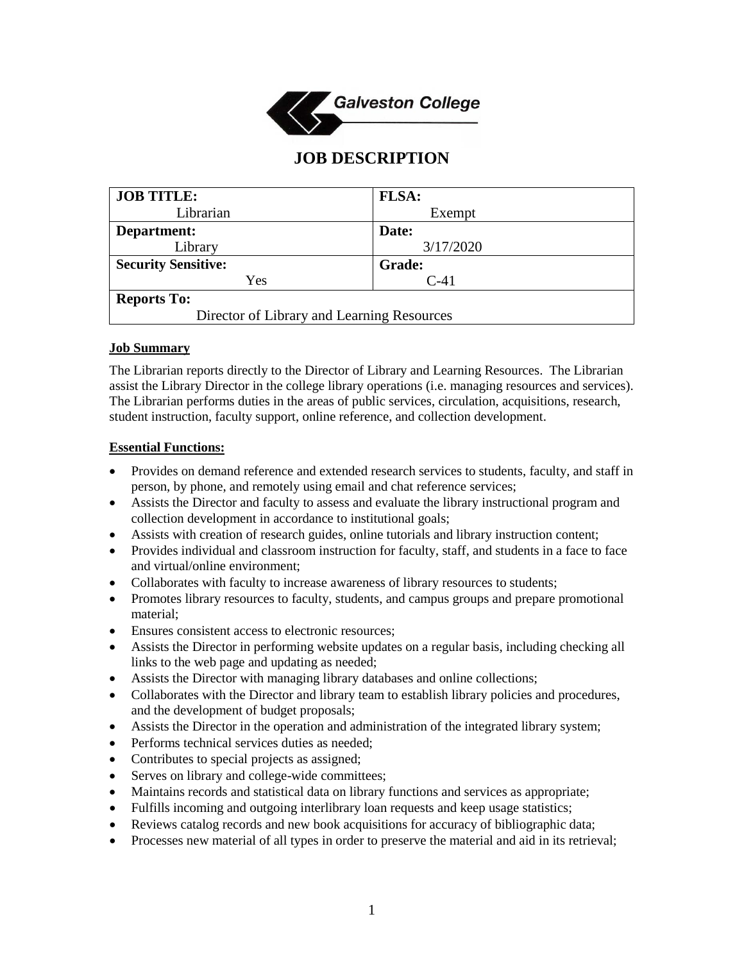

# **JOB DESCRIPTION**

| <b>JOB TITLE:</b>                          | <b>FLSA:</b>  |
|--------------------------------------------|---------------|
| Librarian                                  | Exempt        |
| Department:                                | Date:         |
| Library                                    | 3/17/2020     |
| <b>Security Sensitive:</b>                 | <b>Grade:</b> |
| Yes                                        | $C-41$        |
| <b>Reports To:</b>                         |               |
| Director of Library and Learning Resources |               |

#### **Job Summary**

The Librarian reports directly to the Director of Library and Learning Resources. The Librarian assist the Library Director in the college library operations (i.e. managing resources and services). The Librarian performs duties in the areas of public services, circulation, acquisitions, research, student instruction, faculty support, online reference, and collection development.

#### **Essential Functions:**

- Provides on demand reference and extended research services to students, faculty, and staff in person, by phone, and remotely using email and chat reference services;
- Assists the Director and faculty to assess and evaluate the library instructional program and collection development in accordance to institutional goals;
- Assists with creation of research guides, online tutorials and library instruction content;
- Provides individual and classroom instruction for faculty, staff, and students in a face to face and virtual/online environment;
- Collaborates with faculty to increase awareness of library resources to students;
- Promotes library resources to faculty, students, and campus groups and prepare promotional material;
- Ensures consistent access to electronic resources;
- Assists the Director in performing website updates on a regular basis, including checking all links to the web page and updating as needed;
- Assists the Director with managing library databases and online collections;
- Collaborates with the Director and library team to establish library policies and procedures, and the development of budget proposals;
- Assists the Director in the operation and administration of the integrated library system;
- Performs technical services duties as needed;
- Contributes to special projects as assigned;
- Serves on library and college-wide committees;
- Maintains records and statistical data on library functions and services as appropriate;
- Fulfills incoming and outgoing interlibrary loan requests and keep usage statistics;
- Reviews catalog records and new book acquisitions for accuracy of bibliographic data;
- Processes new material of all types in order to preserve the material and aid in its retrieval;